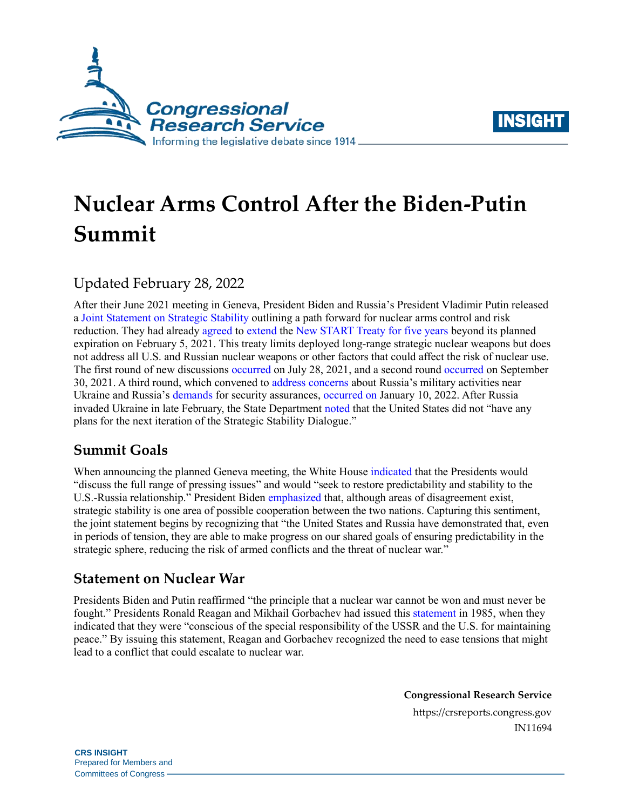



# **Nuclear Arms Control After the Biden-Putin Summit**

## Updated February 28, 2022

After their June 2021 meeting in Geneva, President Biden and Russia's President Vladimir Putin released a [Joint Statement on Strategic Stability](https://www.whitehouse.gov/briefing-room/statements-releases/2021/06/16/u-s-russia-presidential-joint-statement-on-strategic-stability/) outlining a path forward for nuclear arms control and risk reduction. They had already [agreed](https://www.state.gov/on-the-extension-of-the-new-start-treaty-with-the-russian-federation/) to [extend](https://www.mid.ru/foreign_policy/news/-/asset_publisher/cKNonkJE02Bw/content/id/4551078) the [New START Treaty](https://crsreports.congress.gov/product/pdf/R/R41219) for five years beyond its planned expiration on February 5, 2021. This treaty limits deployed long-range strategic nuclear weapons but does not address all U.S. and Russian nuclear weapons or other factors that could affect the risk of nuclear use. The first round of new discussions [occurred](https://www.reuters.com/world/senior-us-diplomat-lead-talks-with-russia-next-week-state-department-2021-07-23/) on July 28, 2021, and a second round [occurred](https://www.state.gov/joint-statement-on-the-outcomes-of-the-u-s-russia-strategic-stability-dialogue-in-geneva-on-september-30/) on September 30, 2021. A third round, which convened to [address concerns](https://www.wsj.com/articles/putin-blames-u-s-for-ukraine-tensions-11640100640) about Russia's military activities near Ukraine and Russia's [demands](https://www.mid.ru/foreign_policy/news/-/asset_publisher/cKNonkJE02Bw/content/id/4991520) for security assurances, [occurred on J](https://www.wsj.com/articles/u-s-russia-set-january-talks-on-ukraine-nato-growth-11640709604?mod=Searchresults_pos1&page=1)anuary 10, 2022. After Russia invaded Ukraine in late February, the State Department [noted](https://www.state.gov/briefings/department-press-briefing-25-february-2022/) that the United States did not "have any plans for the next iteration of the Strategic Stability Dialogue."

## **Summit Goals**

When announcing the planned Geneva meeting, the White House [indicated](https://www.whitehouse.gov/briefing-room/statements-releases/2021/05/25/statement-by-white-house-press-secretary-jen-psaki-on-the-meeting-between-president-joe-biden-and-president-vladimir-putin-of-russia/) that the Presidents would "discuss the full range of pressing issues" and would "seek to restore predictability and stability to the U.S.-Russia relationship." President Biden [emphasized](https://www.whitehouse.gov/briefing-room/speeches-remarks/2021/06/16/remarks-by-president-biden-in-press-conference-4/?utm_source=newsletter&utm_medium=email&utm_campaign=newsletter_axiosam&stream=top) that, although areas of disagreement exist, strategic stability is one area of possible cooperation between the two nations. Capturing this sentiment, the joint statement begins by recognizing that "the United States and Russia have demonstrated that, even in periods of tension, they are able to make progress on our shared goals of ensuring predictability in the strategic sphere, reducing the risk of armed conflicts and the threat of nuclear war."

## **Statement on Nuclear War**

Presidents Biden and Putin reaffirmed "the principle that a nuclear war cannot be won and must never be fought." Presidents Ronald Reagan and Mikhail Gorbachev had issued this [statement i](https://www.reaganlibrary.gov/archives/speech/joint-soviet-united-states-statement-summit-meeting-geneva)n 1985, when they indicated that they were "conscious of the special responsibility of the USSR and the U.S. for maintaining peace." By issuing this statement, Reagan and Gorbachev recognized the need to ease tensions that might lead to a conflict that could escalate to nuclear war.

> **Congressional Research Service** https://crsreports.congress.gov IN11694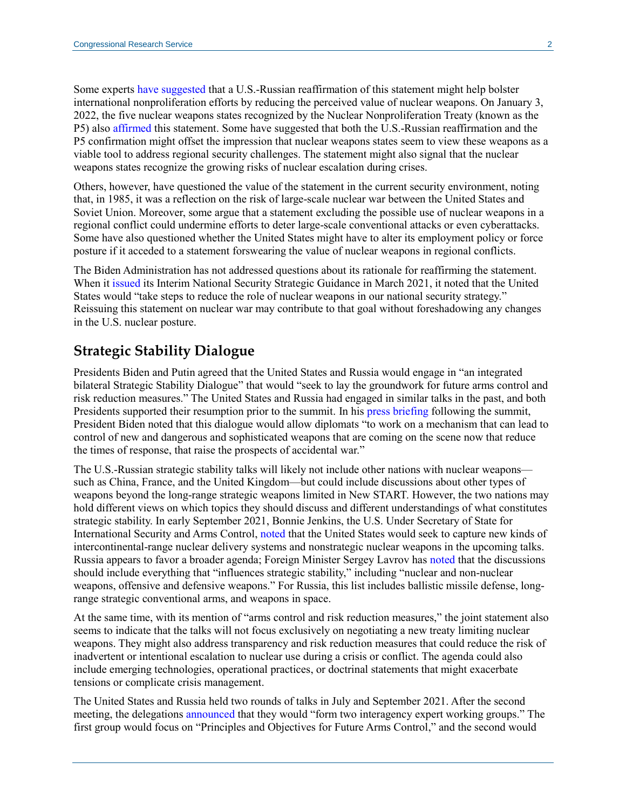Some experts [have suggested](https://www.armscontrol.org/act/2020-03/features/time-renew-reagan-gorbachev-principle) that a U.S.-Russian reaffirmation of this statement might help bolster international nonproliferation efforts by reducing the perceived value of nuclear weapons. On January 3, 2022, the five nuclear weapons states recognized by the Nuclear Nonproliferation Treaty (known as the P5) also [affirmed](https://www.whitehouse.gov/briefing-room/statements-releases/2022/01/03/p5-statement-on-preventing-nuclear-war-and-avoiding-arms-races/) this statement. Some have suggested that both the U.S.-Russian reaffirmation and the P5 confirmation might offset the impression that nuclear weapons states seem to view these weapons as a viable tool to address regional security challenges. The statement might also signal that the nuclear weapons states recognize the growing risks of nuclear escalation during crises.

Others, however, have questioned the value of the statement in the current security environment, noting that, in 1985, it was a reflection on the risk of large-scale nuclear war between the United States and Soviet Union. Moreover, some argue that a statement excluding the possible use of nuclear weapons in a regional conflict could undermine efforts to deter large-scale conventional attacks or even cyberattacks. Some have also questioned whether the United States might have to alter its employment policy or force posture if it acceded to a statement forswearing the value of nuclear weapons in regional conflicts.

The Biden Administration has not addressed questions about its rationale for reaffirming the statement. When it [issued](https://www.whitehouse.gov/wp-content/uploads/2021/03/NSC-1v2.pdf) its Interim National Security Strategic Guidance in March 2021, it noted that the United States would "take steps to reduce the role of nuclear weapons in our national security strategy." Reissuing this statement on nuclear war may contribute to that goal without foreshadowing any changes in the U.S. nuclear posture.

#### **Strategic Stability Dialogue**

Presidents Biden and Putin agreed that the United States and Russia would engage in "an integrated bilateral Strategic Stability Dialogue" that would "seek to lay the groundwork for future arms control and risk reduction measures." The United States and Russia had engaged in similar talks in the past, and both Presidents supported their resumption prior to the summit. In his [press briefing](https://www.whitehouse.gov/briefing-room/speeches-remarks/2021/06/16/remarks-by-president-biden-in-press-conference-4/?utm_source=newsletter&utm_medium=email&utm_campaign=newsletter_axiosam&stream=top) following the summit, President Biden noted that this dialogue would allow diplomats "to work on a mechanism that can lead to control of new and dangerous and sophisticated weapons that are coming on the scene now that reduce the times of response, that raise the prospects of accidental war."

The U.S.-Russian strategic stability talks will likely not include other nations with nuclear weapons such as China, France, and the United Kingdom—but could include discussions about other types of weapons beyond the long-range strategic weapons limited in New START. However, the two nations may hold different views on which topics they should discuss and different understandings of what constitutes strategic stability. In early September 2021, Bonnie Jenkins, the U.S. Under Secretary of State for International Security and Arms Control[, noted](https://www.state.gov/under-secretary-bonnie-jenkins-remarks-nuclear-arms-control-a-new-era/) that the United States would seek to capture new kinds of intercontinental-range nuclear delivery systems and nonstrategic nuclear weapons in the upcoming talks. Russia appears to favor a broader agenda; Foreign Minister Sergey Lavrov has [noted](https://tass.com/politics/1290491) that the discussions should include everything that "influences strategic stability," including "nuclear and non-nuclear weapons, offensive and defensive weapons." For Russia, this list includes ballistic missile defense, longrange strategic conventional arms, and weapons in space.

At the same time, with its mention of "arms control and risk reduction measures," the joint statement also seems to indicate that the talks will not focus exclusively on negotiating a new treaty limiting nuclear weapons. They might also address transparency and risk reduction measures that could reduce the risk of inadvertent or intentional escalation to nuclear use during a crisis or conflict. The agenda could also include emerging technologies, operational practices, or doctrinal statements that might exacerbate tensions or complicate crisis management.

The United States and Russia held two rounds of talks in July and September 2021. After the second meeting, the delegations [announced](https://www.state.gov/joint-statement-on-the-outcomes-of-the-u-s-russia-strategic-stability-dialogue-in-geneva-on-september-30/) that they would "form two interagency expert working groups." The first group would focus on "Principles and Objectives for Future Arms Control," and the second would